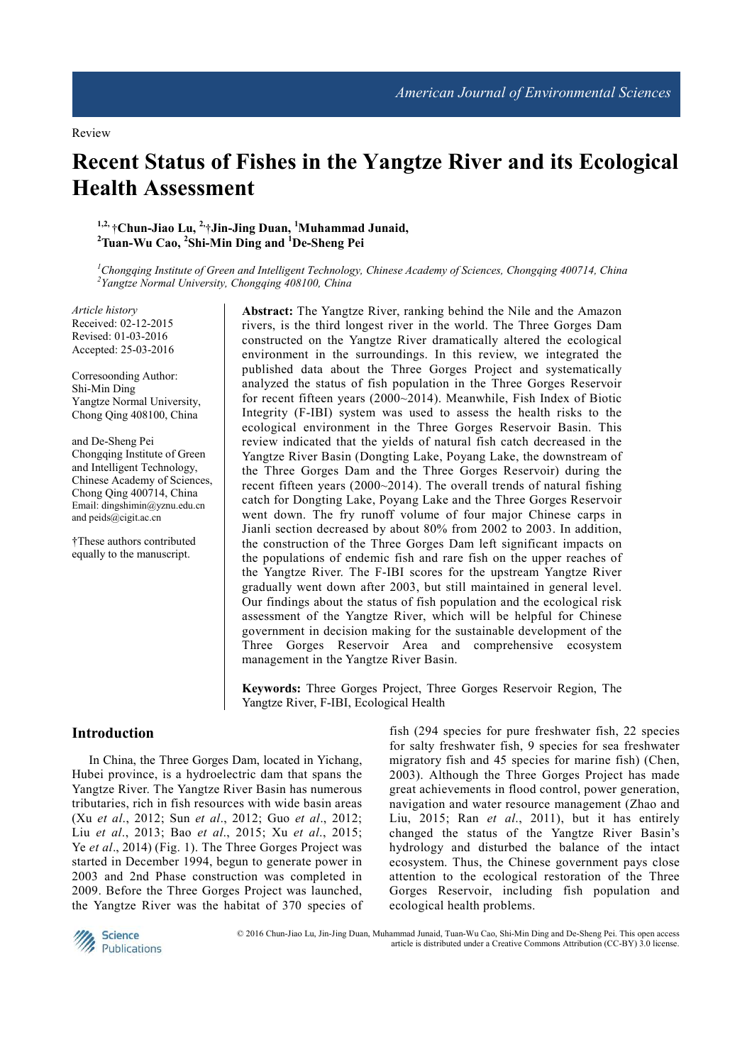# **Recent Status of Fishes in the Yangtze River and its Ecological Health Assessment**

**1,2,** †**Chun-Jiao Lu, 2,**†**Jin-Jing Duan, <sup>1</sup>Muhammad Junaid, <sup>2</sup>Tuan-Wu Cao, <sup>2</sup> Shi-Min Ding and <sup>1</sup>De-Sheng Pei**

*<sup>1</sup>Chongqing Institute of Green and Intelligent Technology, Chinese Academy of Sciences, Chongqing 400714, China 2 Yangtze Normal University, Chongqing 408100, China* 

*Article history*  Received: 02-12-2015 Revised: 01-03-2016 Accepted: 25-03-2016

Corresoonding Author: Shi-Min Ding Yangtze Normal University, Chong Qing 408100, China

and De-Sheng Pei Chongqing Institute of Green and Intelligent Technology, Chinese Academy of Sciences, Chong Qing 400714, China Email: dingshimin@yznu.edu.cn and peids@cigit.ac.cn

†These authors contributed equally to the manuscript.

**Abstract:** The Yangtze River, ranking behind the Nile and the Amazon rivers, is the third longest river in the world. The Three Gorges Dam constructed on the Yangtze River dramatically altered the ecological environment in the surroundings. In this review, we integrated the published data about the Three Gorges Project and systematically analyzed the status of fish population in the Three Gorges Reservoir for recent fifteen years (2000~2014). Meanwhile, Fish Index of Biotic Integrity (F-IBI) system was used to assess the health risks to the ecological environment in the Three Gorges Reservoir Basin. This review indicated that the yields of natural fish catch decreased in the Yangtze River Basin (Dongting Lake, Poyang Lake, the downstream of the Three Gorges Dam and the Three Gorges Reservoir) during the recent fifteen years (2000~2014). The overall trends of natural fishing catch for Dongting Lake, Poyang Lake and the Three Gorges Reservoir went down. The fry runoff volume of four major Chinese carps in Jianli section decreased by about 80% from 2002 to 2003. In addition, the construction of the Three Gorges Dam left significant impacts on the populations of endemic fish and rare fish on the upper reaches of the Yangtze River. The F-IBI scores for the upstream Yangtze River gradually went down after 2003, but still maintained in general level. Our findings about the status of fish population and the ecological risk assessment of the Yangtze River, which will be helpful for Chinese government in decision making for the sustainable development of the Three Gorges Reservoir Area and comprehensive ecosystem management in the Yangtze River Basin.

**Keywords:** Three Gorges Project, Three Gorges Reservoir Region, The Yangtze River, F-IBI, Ecological Health

### **Introduction**

In China, the Three Gorges Dam, located in Yichang, Hubei province, is a hydroelectric dam that spans the Yangtze River. The Yangtze River Basin has numerous tributaries, rich in fish resources with wide basin areas (Xu *et al*., 2012; Sun *et al*., 2012; Guo *et al*., 2012; Liu *et al*., 2013; Bao *et al*., 2015; Xu *et al*., 2015; Ye *et al*., 2014) (Fig. 1). The Three Gorges Project was started in December 1994, begun to generate power in 2003 and 2nd Phase construction was completed in 2009. Before the Three Gorges Project was launched, the Yangtze River was the habitat of 370 species of fish (294 species for pure freshwater fish, 22 species for salty freshwater fish, 9 species for sea freshwater migratory fish and 45 species for marine fish) (Chen, 2003). Although the Three Gorges Project has made great achievements in flood control, power generation, navigation and water resource management (Zhao and Liu, 2015; Ran *et al*., 2011), but it has entirely changed the status of the Yangtze River Basin's hydrology and disturbed the balance of the intact ecosystem. Thus, the Chinese government pays close attention to the ecological restoration of the Three Gorges Reservoir, including fish population and ecological health problems.



 © 2016 Chun-Jiao Lu, Jin-Jing Duan, Muhammad Junaid, Tuan-Wu Cao, Shi-Min Ding and De-Sheng Pei. This open access article is distributed under a Creative Commons Attribution (CC-BY) 3.0 license.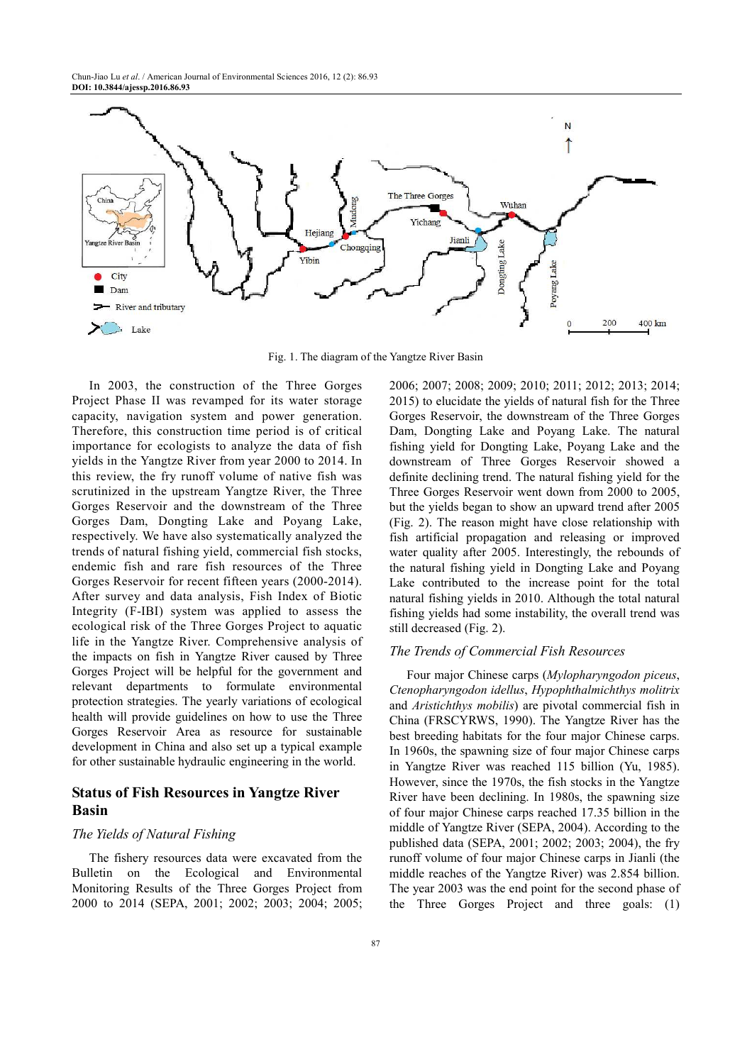Chun-Jiao Lu *et al*. / American Journal of Environmental Sciences 2016, 12 (2): 86.93 **DOI: 10.3844/ajessp.2016.86.93** 



Fig. 1. The diagram of the Yangtze River Basin

In 2003, the construction of the Three Gorges Project Phase II was revamped for its water storage capacity, navigation system and power generation. Therefore, this construction time period is of critical importance for ecologists to analyze the data of fish yields in the Yangtze River from year 2000 to 2014. In this review, the fry runoff volume of native fish was scrutinized in the upstream Yangtze River, the Three Gorges Reservoir and the downstream of the Three Gorges Dam, Dongting Lake and Poyang Lake, respectively. We have also systematically analyzed the trends of natural fishing yield, commercial fish stocks, endemic fish and rare fish resources of the Three Gorges Reservoir for recent fifteen years (2000-2014). After survey and data analysis, Fish Index of Biotic Integrity (F-IBI) system was applied to assess the ecological risk of the Three Gorges Project to aquatic life in the Yangtze River. Comprehensive analysis of the impacts on fish in Yangtze River caused by Three Gorges Project will be helpful for the government and relevant departments to formulate environmental protection strategies. The yearly variations of ecological health will provide guidelines on how to use the Three Gorges Reservoir Area as resource for sustainable development in China and also set up a typical example for other sustainable hydraulic engineering in the world.

# **Status of Fish Resources in Yangtze River Basin**

### *The Yields of Natural Fishing*

The fishery resources data were excavated from the Bulletin on the Ecological and Environmental Monitoring Results of the Three Gorges Project from 2000 to 2014 (SEPA, 2001; 2002; 2003; 2004; 2005; 2006; 2007; 2008; 2009; 2010; 2011; 2012; 2013; 2014; 2015) to elucidate the yields of natural fish for the Three Gorges Reservoir, the downstream of the Three Gorges Dam, Dongting Lake and Poyang Lake. The natural fishing yield for Dongting Lake, Poyang Lake and the downstream of Three Gorges Reservoir showed a definite declining trend. The natural fishing yield for the Three Gorges Reservoir went down from 2000 to 2005, but the yields began to show an upward trend after 2005 (Fig. 2). The reason might have close relationship with fish artificial propagation and releasing or improved water quality after 2005. Interestingly, the rebounds of the natural fishing yield in Dongting Lake and Poyang Lake contributed to the increase point for the total natural fishing yields in 2010. Although the total natural fishing yields had some instability, the overall trend was still decreased (Fig. 2).

#### *The Trends of Commercial Fish Resources*

Four major Chinese carps (*Mylopharyngodon piceus*, *Ctenopharyngodon idellus*, *Hypophthalmichthys molitrix* and *Aristichthys mobilis*) are pivotal commercial fish in China (FRSCYRWS, 1990). The Yangtze River has the best breeding habitats for the four major Chinese carps. In 1960s, the spawning size of four major Chinese carps in Yangtze River was reached 115 billion (Yu, 1985). However, since the 1970s, the fish stocks in the Yangtze River have been declining. In 1980s, the spawning size of four major Chinese carps reached 17.35 billion in the middle of Yangtze River (SEPA, 2004). According to the published data (SEPA, 2001; 2002; 2003; 2004), the fry runoff volume of four major Chinese carps in Jianli (the middle reaches of the Yangtze River) was 2.854 billion. The year 2003 was the end point for the second phase of the Three Gorges Project and three goals: (1)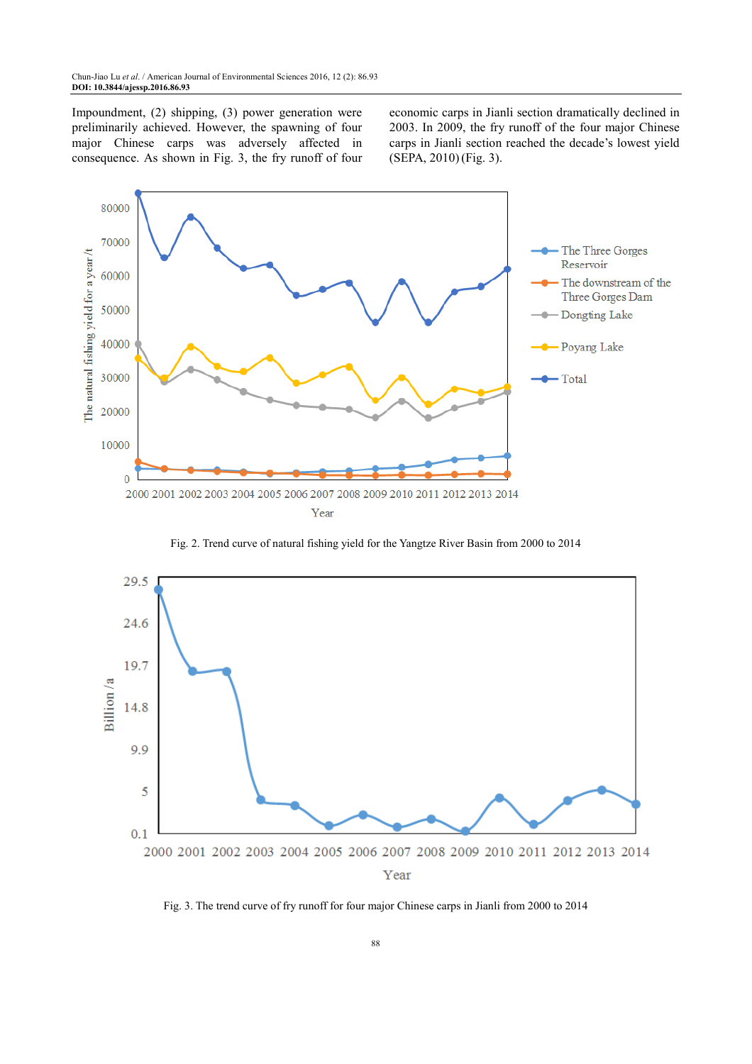Impoundment, (2) shipping, (3) power generation were preliminarily achieved. However, the spawning of four major Chinese carps was adversely affected in consequence. As shown in Fig. 3, the fry runoff of four economic carps in Jianli section dramatically declined in 2003. In 2009, the fry runoff of the four major Chinese carps in Jianli section reached the decade's lowest yield (SEPA, 2010)(Fig. 3).



Fig. 2. Trend curve of natural fishing yield for the Yangtze River Basin from 2000 to 2014



Fig. 3. The trend curve of fry runoff for four major Chinese carps in Jianli from 2000 to 2014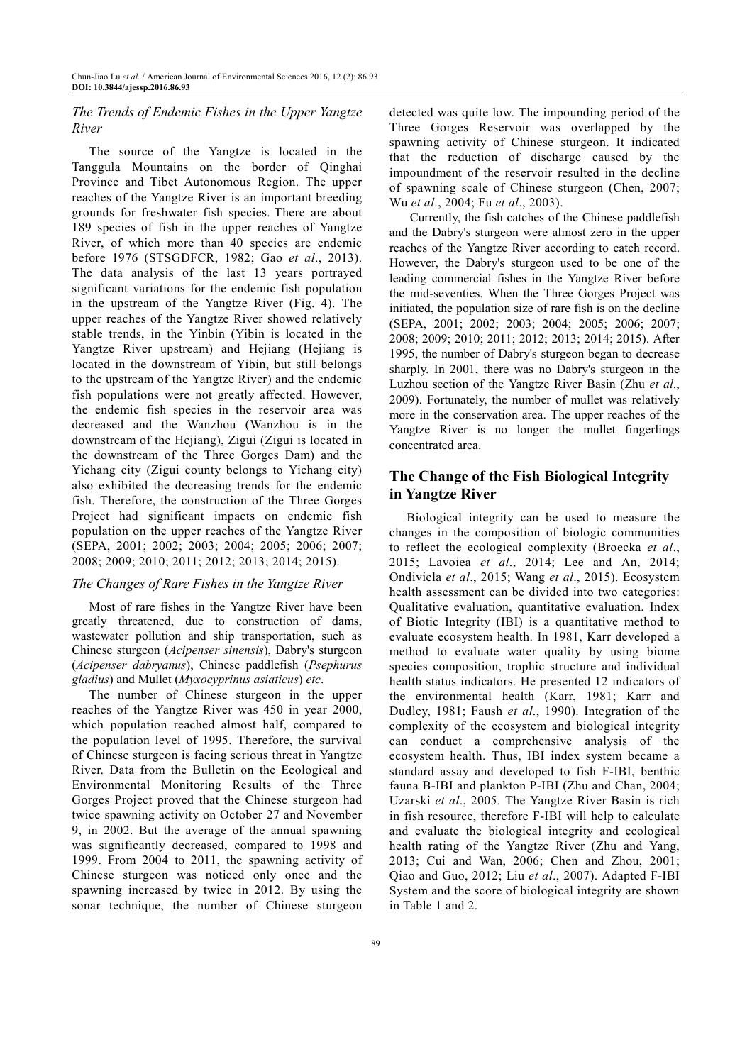# *The Trends of Endemic Fishes in the Upper Yangtze River*

The source of the Yangtze is located in the Tanggula Mountains on the border of Qinghai Province and Tibet Autonomous Region. The upper reaches of the Yangtze River is an important breeding grounds for freshwater fish species. There are about 189 species of fish in the upper reaches of Yangtze River, of which more than 40 species are endemic before 1976 (STSGDFCR, 1982; Gao *et al*., 2013). The data analysis of the last 13 years portrayed significant variations for the endemic fish population in the upstream of the Yangtze River (Fig. 4). The upper reaches of the Yangtze River showed relatively stable trends, in the Yinbin (Yibin is located in the Yangtze River upstream) and Hejiang (Hejiang is located in the downstream of Yibin, but still belongs to the upstream of the Yangtze River) and the endemic fish populations were not greatly affected. However, the endemic fish species in the reservoir area was decreased and the Wanzhou (Wanzhou is in the downstream of the Hejiang), Zigui (Zigui is located in the downstream of the Three Gorges Dam) and the Yichang city (Zigui county belongs to Yichang city) also exhibited the decreasing trends for the endemic fish. Therefore, the construction of the Three Gorges Project had significant impacts on endemic fish population on the upper reaches of the Yangtze River (SEPA, 2001; 2002; 2003; 2004; 2005; 2006; 2007; 2008; 2009; 2010; 2011; 2012; 2013; 2014; 2015).

### *The Changes of Rare Fishes in the Yangtze River*

Most of rare fishes in the Yangtze River have been greatly threatened, due to construction of dams, wastewater pollution and ship transportation, such as Chinese sturgeon (*Acipenser sinensis*), Dabry's sturgeon (*Acipenser dabryanus*), Chinese paddlefish (*Psephurus gladius*) and Mullet (*Myxocyprinus asiaticus*) *etc*.

The number of Chinese sturgeon in the upper reaches of the Yangtze River was 450 in year 2000, which population reached almost half, compared to the population level of 1995. Therefore, the survival of Chinese sturgeon is facing serious threat in Yangtze River. Data from the Bulletin on the Ecological and Environmental Monitoring Results of the Three Gorges Project proved that the Chinese sturgeon had twice spawning activity on October 27 and November 9, in 2002. But the average of the annual spawning was significantly decreased, compared to 1998 and 1999. From 2004 to 2011, the spawning activity of Chinese sturgeon was noticed only once and the spawning increased by twice in 2012. By using the sonar technique, the number of Chinese sturgeon

detected was quite low. The impounding period of the Three Gorges Reservoir was overlapped by the spawning activity of Chinese sturgeon. It indicated that the reduction of discharge caused by the impoundment of the reservoir resulted in the decline of spawning scale of Chinese sturgeon (Chen, 2007; Wu *et al*., 2004; Fu *et al*., 2003).

 Currently, the fish catches of the Chinese paddlefish and the Dabry's sturgeon were almost zero in the upper reaches of the Yangtze River according to catch record. However, the Dabry's sturgeon used to be one of the leading commercial fishes in the Yangtze River before the mid-seventies. When the Three Gorges Project was initiated, the population size of rare fish is on the decline (SEPA, 2001; 2002; 2003; 2004; 2005; 2006; 2007; 2008; 2009; 2010; 2011; 2012; 2013; 2014; 2015). After 1995, the number of Dabry's sturgeon began to decrease sharply. In 2001, there was no Dabry's sturgeon in the Luzhou section of the Yangtze River Basin (Zhu *et al*., 2009). Fortunately, the number of mullet was relatively more in the conservation area. The upper reaches of the Yangtze River is no longer the mullet fingerlings concentrated area.

# **The Change of the Fish Biological Integrity in Yangtze River**

Biological integrity can be used to measure the changes in the composition of biologic communities to reflect the ecological complexity (Broecka *et al*., 2015; Lavoiea *et al*., 2014; Lee and An, 2014; Ondiviela *et al*., 2015; Wang *et al*., 2015). Ecosystem health assessment can be divided into two categories: Qualitative evaluation, quantitative evaluation. Index of Biotic Integrity (IBI) is a quantitative method to evaluate ecosystem health. In 1981, Karr developed a method to evaluate water quality by using biome species composition, trophic structure and individual health status indicators. He presented 12 indicators of the environmental health (Karr, 1981; Karr and Dudley, 1981; Faush *et al*., 1990). Integration of the complexity of the ecosystem and biological integrity can conduct a comprehensive analysis of the ecosystem health. Thus, IBI index system became a standard assay and developed to fish F-IBI, benthic fauna B-IBI and plankton P-IBI (Zhu and Chan, 2004; Uzarski *et al*., 2005. The Yangtze River Basin is rich in fish resource, therefore F-IBI will help to calculate and evaluate the biological integrity and ecological health rating of the Yangtze River (Zhu and Yang, 2013; Cui and Wan, 2006; Chen and Zhou, 2001; Qiao and Guo, 2012; Liu *et al*., 2007). Adapted F-IBI System and the score of biological integrity are shown in Table 1 and 2.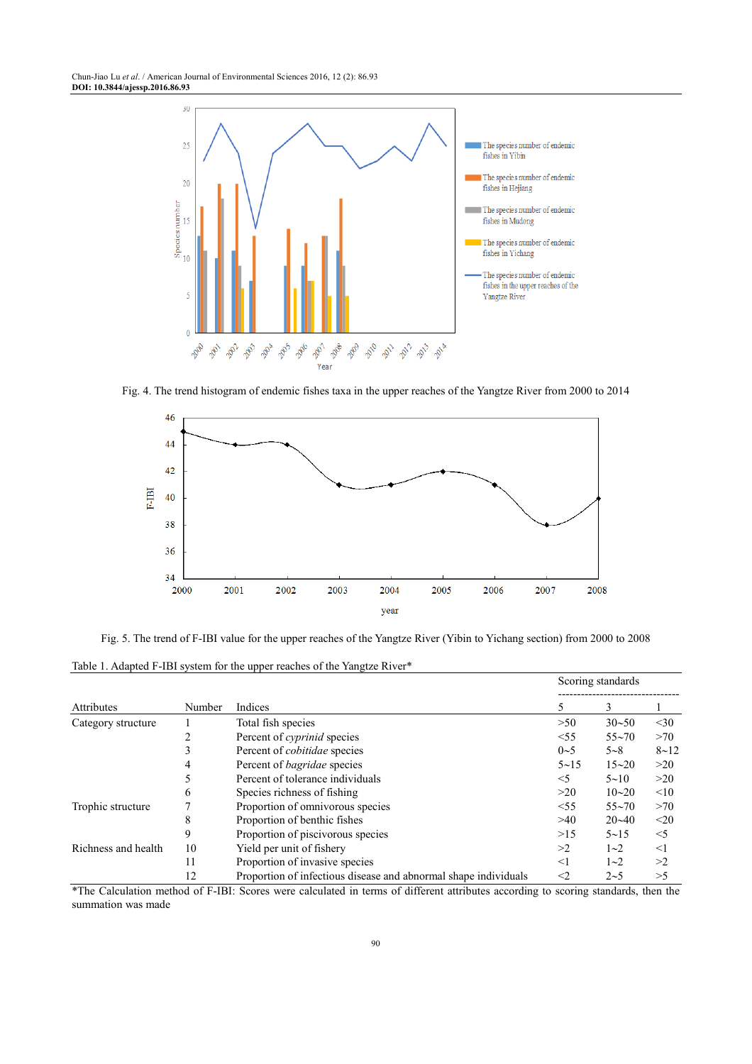Chun-Jiao Lu *et al*. / American Journal of Environmental Sciences 2016, 12 (2): 86.93 **DOI: 10.3844/ajessp.2016.86.93** 



Fig. 4. The trend histogram of endemic fishes taxa in the upper reaches of the Yangtze River from 2000 to 2014



Fig. 5. The trend of F-IBI value for the upper reaches of the Yangtze River (Yibin to Yichang section) from 2000 to 2008

Table 1. Adapted F-IBI system for the upper reaches of the Yangtze River\*

| <b>Attributes</b>   | Number | Indices                                                         | Scoring standards |             |          |
|---------------------|--------|-----------------------------------------------------------------|-------------------|-------------|----------|
|                     |        |                                                                 |                   | 3           |          |
| Category structure  |        | Total fish species                                              | >50               | $30 - 50$   | $30$     |
|                     |        | Percent of <i>cyprinid</i> species                              | $<$ 55            | $55 - 70$   | >70      |
|                     | 3      | Percent of <i>cobitidae</i> species                             | $0 - 5$           | $5 - 8$     | $8 - 12$ |
|                     | 4      | Percent of <i>bagridae</i> species                              | $5 - 15$          | $15 - 20$   | >20      |
|                     |        | Percent of tolerance individuals                                | $<$ 5             | $5 - 10$    | >20      |
|                     | 6      | Species richness of fishing                                     | >20               | $10 - 20$   | <10      |
| Trophic structure   |        | Proportion of omnivorous species                                | $<$ 55            | $55 - 70$   | >70      |
|                     | 8      | Proportion of benthic fishes                                    | >40               | $20 - 40$   | $20$     |
|                     | 9      | Proportion of piscivorous species                               | >15               | $5 \sim 15$ | $<$ 5    |
| Richness and health | 10     | Yield per unit of fishery                                       | >2                | $1 - 2$     | $<$ 1    |
|                     | 11     | Proportion of invasive species                                  | $<$ 1             | $1 - 2$     | >2       |
|                     | 12     | Proportion of infectious disease and abnormal shape individuals | $<$ 2             | $2 - 5$     | $>\!5$   |

\*The Calculation method of F-IBI: Scores were calculated in terms of different attributes according to scoring standards, then the summation was made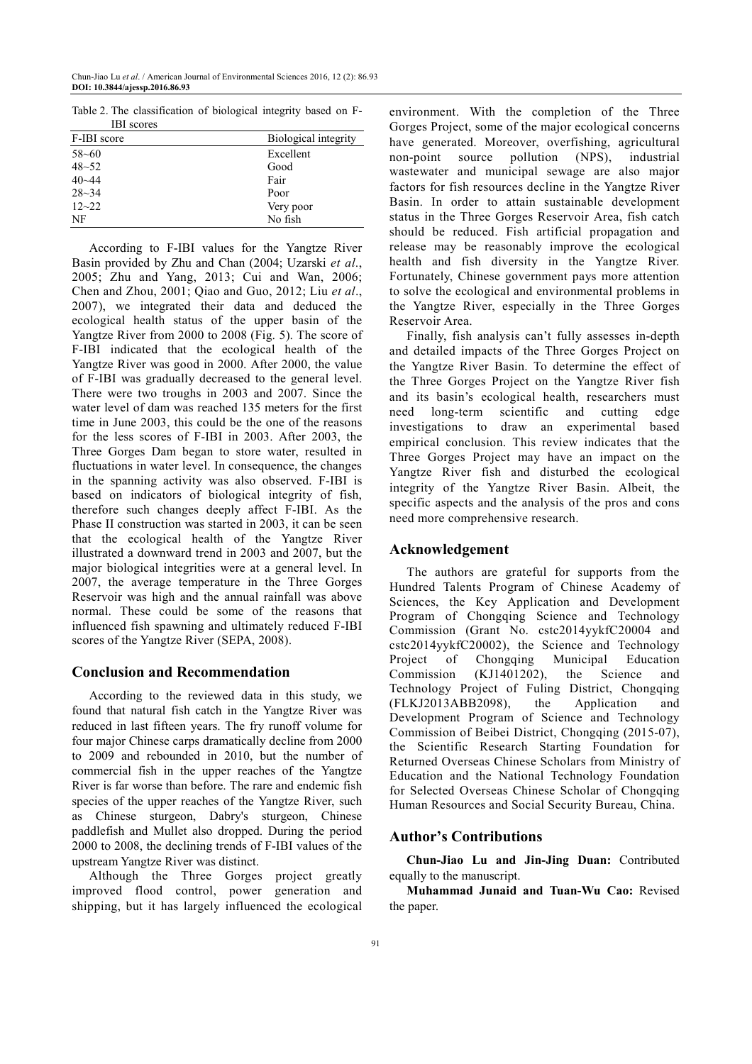Table 2. The classification of biological integrity based on F-IBI scores

| IDI SUVIUS  |                      |  |  |
|-------------|----------------------|--|--|
| F-IBI score | Biological integrity |  |  |
| $58 - 60$   | Excellent            |  |  |
| $48 - 52$   | Good                 |  |  |
| $40 - 44$   | Fair                 |  |  |
| $28 - 34$   | Poor                 |  |  |
| $12 - 22$   | Very poor            |  |  |
| NF          | No fish              |  |  |

According to F-IBI values for the Yangtze River Basin provided by Zhu and Chan (2004; Uzarski *et al*., 2005; Zhu and Yang, 2013; Cui and Wan, 2006; Chen and Zhou, 2001; Qiao and Guo, 2012; Liu *et al*., 2007), we integrated their data and deduced the ecological health status of the upper basin of the Yangtze River from 2000 to 2008 (Fig. 5). The score of F-IBI indicated that the ecological health of the Yangtze River was good in 2000. After 2000, the value of F-IBI was gradually decreased to the general level. There were two troughs in 2003 and 2007. Since the water level of dam was reached 135 meters for the first time in June 2003, this could be the one of the reasons for the less scores of F-IBI in 2003. After 2003, the Three Gorges Dam began to store water, resulted in fluctuations in water level. In consequence, the changes in the spanning activity was also observed. F-IBI is based on indicators of biological integrity of fish, therefore such changes deeply affect F-IBI. As the Phase II construction was started in 2003, it can be seen that the ecological health of the Yangtze River illustrated a downward trend in 2003 and 2007, but the major biological integrities were at a general level. In 2007, the average temperature in the Three Gorges Reservoir was high and the annual rainfall was above normal. These could be some of the reasons that influenced fish spawning and ultimately reduced F-IBI scores of the Yangtze River (SEPA, 2008).

#### **Conclusion and Recommendation**

According to the reviewed data in this study, we found that natural fish catch in the Yangtze River was reduced in last fifteen years. The fry runoff volume for four major Chinese carps dramatically decline from 2000 to 2009 and rebounded in 2010, but the number of commercial fish in the upper reaches of the Yangtze River is far worse than before. The rare and endemic fish species of the upper reaches of the Yangtze River, such as Chinese sturgeon, Dabry's sturgeon, Chinese paddlefish and Mullet also dropped. During the period 2000 to 2008, the declining trends of F-IBI values of the upstream Yangtze River was distinct.

Although the Three Gorges project greatly improved flood control, power generation and shipping, but it has largely influenced the ecological

environment. With the completion of the Three Gorges Project, some of the major ecological concerns have generated. Moreover, overfishing, agricultural non-point source pollution (NPS), industrial wastewater and municipal sewage are also major factors for fish resources decline in the Yangtze River Basin. In order to attain sustainable development status in the Three Gorges Reservoir Area, fish catch should be reduced. Fish artificial propagation and release may be reasonably improve the ecological health and fish diversity in the Yangtze River. Fortunately, Chinese government pays more attention to solve the ecological and environmental problems in the Yangtze River, especially in the Three Gorges Reservoir Area.

Finally, fish analysis can't fully assesses in-depth and detailed impacts of the Three Gorges Project on the Yangtze River Basin. To determine the effect of the Three Gorges Project on the Yangtze River fish and its basin's ecological health, researchers must need long-term scientific and cutting edge investigations to draw an experimental based empirical conclusion. This review indicates that the Three Gorges Project may have an impact on the Yangtze River fish and disturbed the ecological integrity of the Yangtze River Basin. Albeit, the specific aspects and the analysis of the pros and cons need more comprehensive research.

#### **Acknowledgement**

The authors are grateful for supports from the Hundred Talents Program of Chinese Academy of Sciences, the Key Application and Development Program of Chongqing Science and Technology Commission (Grant No. cstc2014yykfC20004 and cstc2014yykfC20002), the Science and Technology Project of Chongqing Municipal Education Commission (KJ1401202), the Science and Technology Project of Fuling District, Chongqing (FLKJ2013ABB2098), the Application and Development Program of Science and Technology Commission of Beibei District, Chongqing (2015-07), the Scientific Research Starting Foundation for Returned Overseas Chinese Scholars from Ministry of Education and the National Technology Foundation for Selected Overseas Chinese Scholar of Chongqing Human Resources and Social Security Bureau, China.

### **Author's Contributions**

**Chun-Jiao Lu and Jin-Jing Duan:** Contributed equally to the manuscript.

**Muhammad Junaid and Tuan-Wu Cao:** Revised the paper.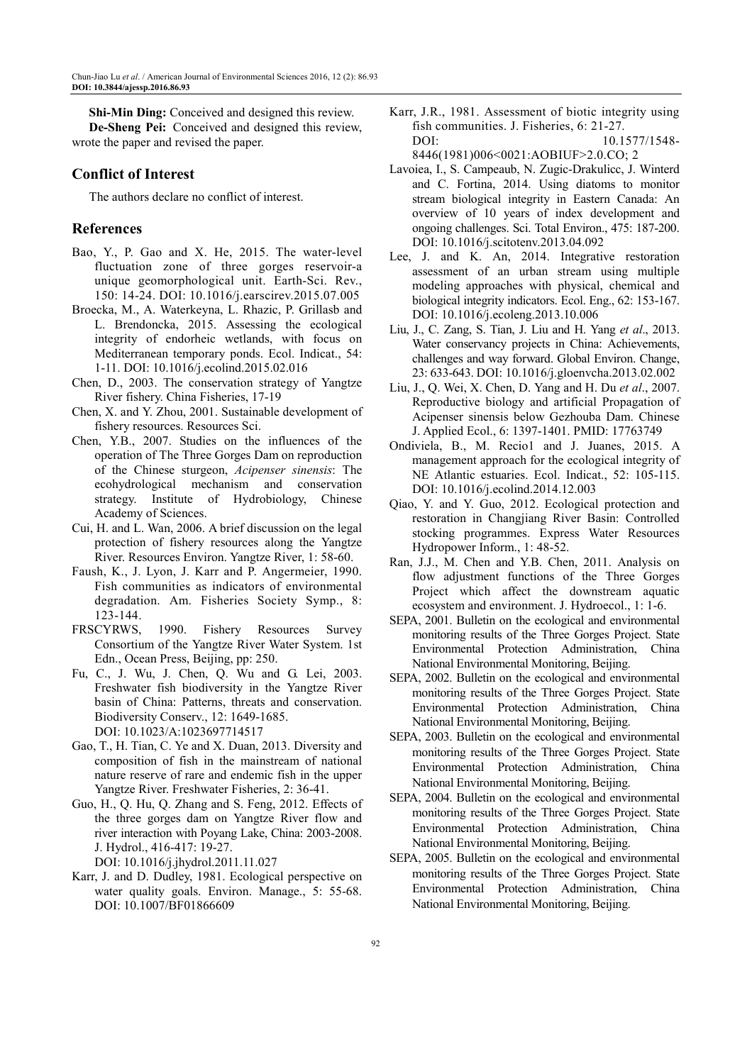**Shi-Min Ding:** Conceived and designed this review. **De-Sheng Pei:** Conceived and designed this review, wrote the paper and revised the paper.

# **Conflict of Interest**

The authors declare no conflict of interest.

# **References**

- Bao, Y., P. Gao and X. He, 2015. The water-level fluctuation zone of three gorges reservoir-a unique geomorphological unit. Earth-Sci. Rev., 150: 14-24. DOI: 10.1016/j.earscirev.2015.07.005
- Broecka, M., A. Waterkeyna, L. Rhazic, P. Grillasb and L. Brendoncka, 2015. Assessing the ecological integrity of endorheic wetlands, with focus on Mediterranean temporary ponds. Ecol. Indicat., 54: 1-11. DOI: 10.1016/j.ecolind.2015.02.016
- Chen, D., 2003. The conservation strategy of Yangtze River fishery. China Fisheries, 17-19
- Chen, X. and Y. Zhou, 2001. Sustainable development of fishery resources. Resources Sci.
- Chen, Y.B., 2007. Studies on the influences of the operation of The Three Gorges Dam on reproduction of the Chinese sturgeon, *Acipenser sinensis*: The ecohydrological mechanism and conservation strategy. Institute of Hydrobiology, Chinese Academy of Sciences.
- Cui, H. and L. Wan, 2006. A brief discussion on the legal protection of fishery resources along the Yangtze River. Resources Environ. Yangtze River, 1: 58-60.
- Faush, K., J. Lyon, J. Karr and P. Angermeier, 1990. Fish communities as indicators of environmental degradation. Am. Fisheries Society Symp., 8: 123-144.
- FRSCYRWS, 1990. Fishery Resources Survey Consortium of the Yangtze River Water System. 1st Edn., Ocean Press, Beijing, pp: 250.
- Fu, C., J. Wu, J. Chen, Q. Wu and G. Lei, 2003. Freshwater fish biodiversity in the Yangtze River basin of China: Patterns, threats and conservation. Biodiversity Conserv., 12: 1649-1685. DOI: 10.1023/A:1023697714517
- Gao, T., H. Tian, C. Ye and X. Duan, 2013. Diversity and composition of fish in the mainstream of national nature reserve of rare and endemic fish in the upper Yangtze River. Freshwater Fisheries, 2: 36-41.
- Guo, H., Q. Hu, Q. Zhang and S. Feng, 2012. Effects of the three gorges dam on Yangtze River flow and river interaction with Poyang Lake, China: 2003-2008. J. Hydrol., 416-417: 19-27. DOI: 10.1016/j.jhydrol.2011.11.027
- Karr, J. and D. Dudley, 1981. Ecological perspective on water quality goals. Environ. Manage., 5: 55-68. DOI: 10.1007/BF01866609
- Karr, J.R., 1981. Assessment of biotic integrity using fish communities. J. Fisheries, 6: 21-27. DOI: 10.1577/1548-
	- 8446(1981)006<0021:AOBIUF>2.0.CO; 2
- Lavoiea, I., S. Campeaub, N. Zugic-Drakulicc, J. Winterd and C. Fortina, 2014. Using diatoms to monitor stream biological integrity in Eastern Canada: An overview of 10 years of index development and ongoing challenges. Sci. Total Environ., 475: 187-200. DOI: 10.1016/j.scitotenv.2013.04.092
- Lee, J. and K. An, 2014. Integrative restoration assessment of an urban stream using multiple modeling approaches with physical, chemical and biological integrity indicators. Ecol. Eng., 62: 153-167. DOI: 10.1016/j.ecoleng.2013.10.006
- Liu, J., C. Zang, S. Tian, J. Liu and H. Yang *et al*., 2013. Water conservancy projects in China: Achievements, challenges and way forward. Global Environ. Change, 23: 633-643. DOI: 10.1016/j.gloenvcha.2013.02.002
- Liu, J., Q. Wei, X. Chen, D. Yang and H. Du *et al*., 2007. Reproductive biology and artificial Propagation of Acipenser sinensis below Gezhouba Dam. Chinese J. Applied Ecol., 6: 1397-1401. PMID: 17763749
- Ondiviela, B., M. Recio1 and J. Juanes, 2015. A management approach for the ecological integrity of NE Atlantic estuaries. Ecol. Indicat., 52: 105-115. DOI: 10.1016/j.ecolind.2014.12.003
- Qiao, Y. and Y. Guo, 2012. Ecological protection and restoration in Changjiang River Basin: Controlled stocking programmes. Express Water Resources Hydropower Inform., 1: 48-52.
- Ran, J.J., M. Chen and Y.B. Chen, 2011. Analysis on flow adjustment functions of the Three Gorges Project which affect the downstream aquatic ecosystem and environment. J. Hydroecol., 1: 1-6.
- SEPA, 2001. Bulletin on the ecological and environmental monitoring results of the Three Gorges Project. State Environmental Protection Administration, China National Environmental Monitoring, Beijing.
- SEPA, 2002. Bulletin on the ecological and environmental monitoring results of the Three Gorges Project. State Environmental Protection Administration, China National Environmental Monitoring, Beijing.
- SEPA, 2003. Bulletin on the ecological and environmental monitoring results of the Three Gorges Project. State Environmental Protection Administration, China National Environmental Monitoring, Beijing.
- SEPA, 2004. Bulletin on the ecological and environmental monitoring results of the Three Gorges Project. State Environmental Protection Administration, China National Environmental Monitoring, Beijing.
- SEPA, 2005. Bulletin on the ecological and environmental monitoring results of the Three Gorges Project. State Environmental Protection Administration, China National Environmental Monitoring, Beijing.